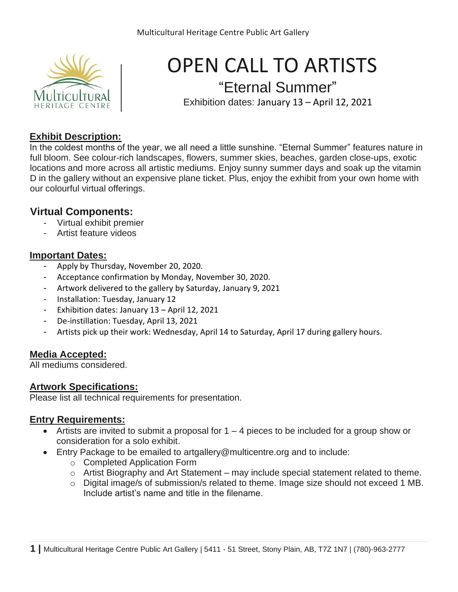

## OPEN CALL TO ARTISTS "Eternal Summer"

Exhibition dates: January 13 – April 12, 2021

#### **Exhibit Description:**

In the coldest months of the year, we all need a little sunshine. "Eternal Summer" features nature in full bloom. See colour-rich landscapes, flowers, summer skies, beaches, garden close-ups, exotic locations and more across all artistic mediums. Enjoy sunny summer days and soak up the vitamin D in the gallery without an expensive plane ticket. Plus, enjoy the exhibit from your own home with our colourful virtual offerings.

#### **Virtual Components:**

- Virtual exhibit premier
- Artist feature videos

#### **Important Dates:**

- Apply by Thursday, November 20, 2020.
- Acceptance confirmation by Monday, November 30, 2020.
- Artwork delivered to the gallery by Saturday, January 9, 2021
- Installation: Tuesday, January 12
- Exhibition dates: January 13 April 12, 2021
- De-instillation: Tuesday, April 13, 2021
- Artists pick up their work: Wednesday, April 14 to Saturday, April 17 during gallery hours.

#### **Media Accepted:**

All mediums considered.

#### **Artwork Specifications:**

Please list all technical requirements for presentation.

#### **Entry Requirements:**

- Artists are invited to submit a proposal for  $1 4$  pieces to be included for a group show or consideration for a solo exhibit.
- Entry Package to be emailed to artgallery@multicentre.org and to include:
	- o Completed Application Form
	- o Artist Biography and Art Statement may include special statement related to theme.
	- o Digital image/s of submission/s related to theme. Image size should not exceed 1 MB. Include artist's name and title in the filename.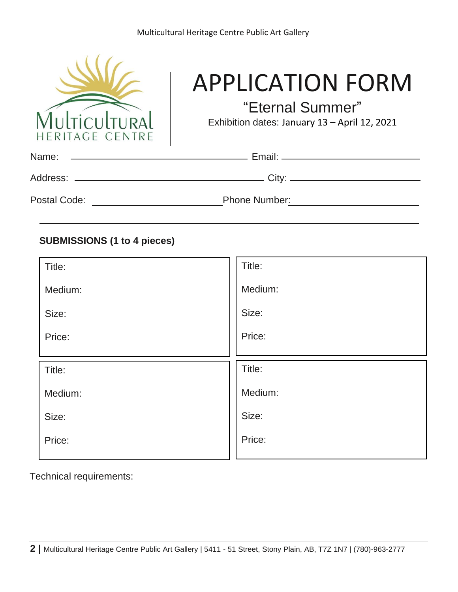

# APPLICATION FORM

"Eternal Summer"

Exhibition dates: January 13 – April 12, 2021

| Name:<br>the contract of the contract of the contract of the contract of the contract of the contract of the contract of |                      |  |
|--------------------------------------------------------------------------------------------------------------------------|----------------------|--|
|                                                                                                                          |                      |  |
| Postal Code:                                                                                                             | <b>Phone Number:</b> |  |

#### **SUBMISSIONS (1 to 4 pieces)**

| Title:  | Title:  |
|---------|---------|
| Medium: | Medium: |
| Size:   | Size:   |
| Price:  | Price:  |
|         |         |
|         |         |
| Title:  | Title:  |
| Medium: | Medium: |
| Size:   | Size:   |
| Price:  | Price:  |

Technical requirements: